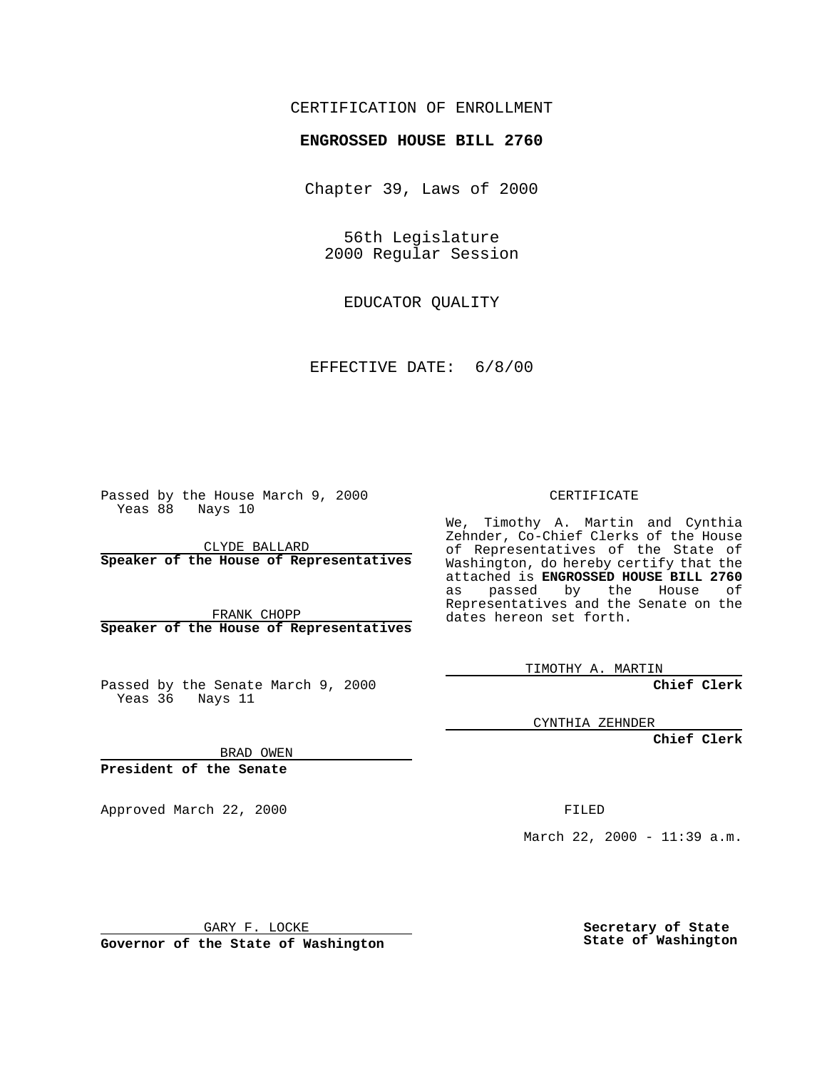### CERTIFICATION OF ENROLLMENT

## **ENGROSSED HOUSE BILL 2760**

Chapter 39, Laws of 2000

56th Legislature 2000 Regular Session

EDUCATOR QUALITY

EFFECTIVE DATE: 6/8/00

Passed by the House March 9, 2000 Yeas 88 Nays 10

CLYDE BALLARD **Speaker of the House of Representatives**

FRANK CHOPP **Speaker of the House of Representatives**

Passed by the Senate March 9, 2000 Yeas 36 Nays 11

CERTIFICATE

We, Timothy A. Martin and Cynthia Zehnder, Co-Chief Clerks of the House of Representatives of the State of Washington, do hereby certify that the attached is **ENGROSSED HOUSE BILL 2760** as passed by the House of Representatives and the Senate on the dates hereon set forth.

TIMOTHY A. MARTIN

**Chief Clerk**

CYNTHIA ZEHNDER

**Chief Clerk**

BRAD OWEN

**President of the Senate**

Approved March 22, 2000 FILED

March 22, 2000 - 11:39 a.m.

GARY F. LOCKE

**Governor of the State of Washington**

**Secretary of State State of Washington**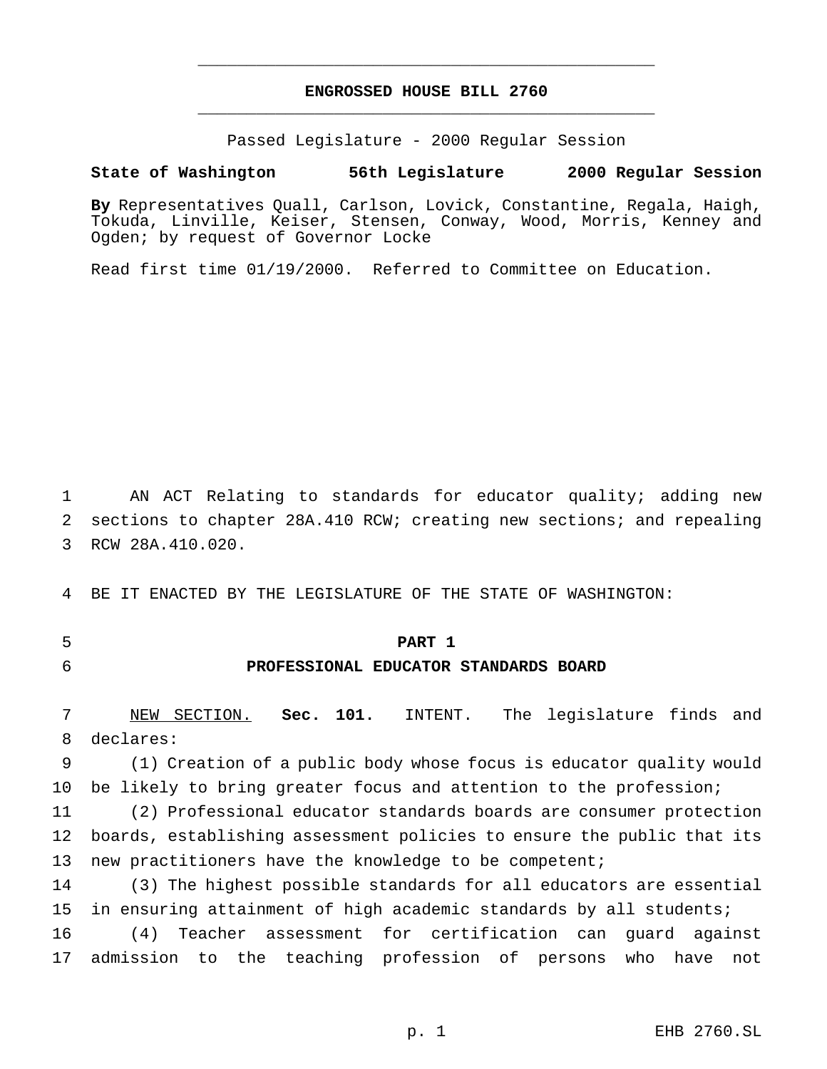## **ENGROSSED HOUSE BILL 2760** \_\_\_\_\_\_\_\_\_\_\_\_\_\_\_\_\_\_\_\_\_\_\_\_\_\_\_\_\_\_\_\_\_\_\_\_\_\_\_\_\_\_\_\_\_\_\_

\_\_\_\_\_\_\_\_\_\_\_\_\_\_\_\_\_\_\_\_\_\_\_\_\_\_\_\_\_\_\_\_\_\_\_\_\_\_\_\_\_\_\_\_\_\_\_

Passed Legislature - 2000 Regular Session

**State of Washington 56th Legislature 2000 Regular Session**

**By** Representatives Quall, Carlson, Lovick, Constantine, Regala, Haigh, Tokuda, Linville, Keiser, Stensen, Conway, Wood, Morris, Kenney and Ogden; by request of Governor Locke

Read first time 01/19/2000. Referred to Committee on Education.

1 AN ACT Relating to standards for educator quality; adding new 2 sections to chapter 28A.410 RCW; creating new sections; and repealing 3 RCW 28A.410.020.

4 BE IT ENACTED BY THE LEGISLATURE OF THE STATE OF WASHINGTON:

5 **PART 1**

## 6 **PROFESSIONAL EDUCATOR STANDARDS BOARD**

7 NEW SECTION. **Sec. 101.** INTENT. The legislature finds and 8 declares:

9 (1) Creation of a public body whose focus is educator quality would 10 be likely to bring greater focus and attention to the profession;

11 (2) Professional educator standards boards are consumer protection 12 boards, establishing assessment policies to ensure the public that its 13 new practitioners have the knowledge to be competent;

14 (3) The highest possible standards for all educators are essential 15 in ensuring attainment of high academic standards by all students;

16 (4) Teacher assessment for certification can guard against 17 admission to the teaching profession of persons who have not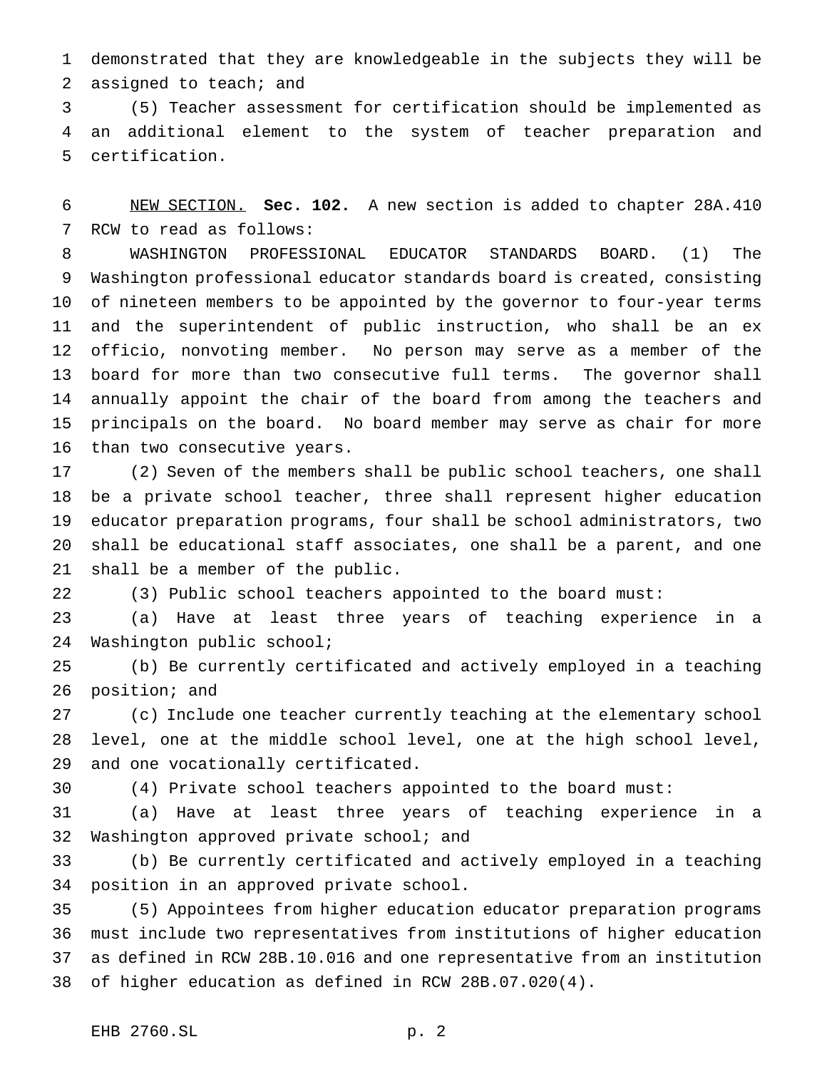demonstrated that they are knowledgeable in the subjects they will be assigned to teach; and

 (5) Teacher assessment for certification should be implemented as an additional element to the system of teacher preparation and certification.

 NEW SECTION. **Sec. 102.** A new section is added to chapter 28A.410 RCW to read as follows:

 WASHINGTON PROFESSIONAL EDUCATOR STANDARDS BOARD. (1) The Washington professional educator standards board is created, consisting of nineteen members to be appointed by the governor to four-year terms and the superintendent of public instruction, who shall be an ex officio, nonvoting member. No person may serve as a member of the board for more than two consecutive full terms. The governor shall annually appoint the chair of the board from among the teachers and principals on the board. No board member may serve as chair for more than two consecutive years.

 (2) Seven of the members shall be public school teachers, one shall be a private school teacher, three shall represent higher education educator preparation programs, four shall be school administrators, two shall be educational staff associates, one shall be a parent, and one shall be a member of the public.

(3) Public school teachers appointed to the board must:

 (a) Have at least three years of teaching experience in a Washington public school;

 (b) Be currently certificated and actively employed in a teaching position; and

 (c) Include one teacher currently teaching at the elementary school level, one at the middle school level, one at the high school level, and one vocationally certificated.

(4) Private school teachers appointed to the board must:

 (a) Have at least three years of teaching experience in a 32 Washington approved private school; and

 (b) Be currently certificated and actively employed in a teaching position in an approved private school.

 (5) Appointees from higher education educator preparation programs must include two representatives from institutions of higher education as defined in RCW 28B.10.016 and one representative from an institution of higher education as defined in RCW 28B.07.020(4).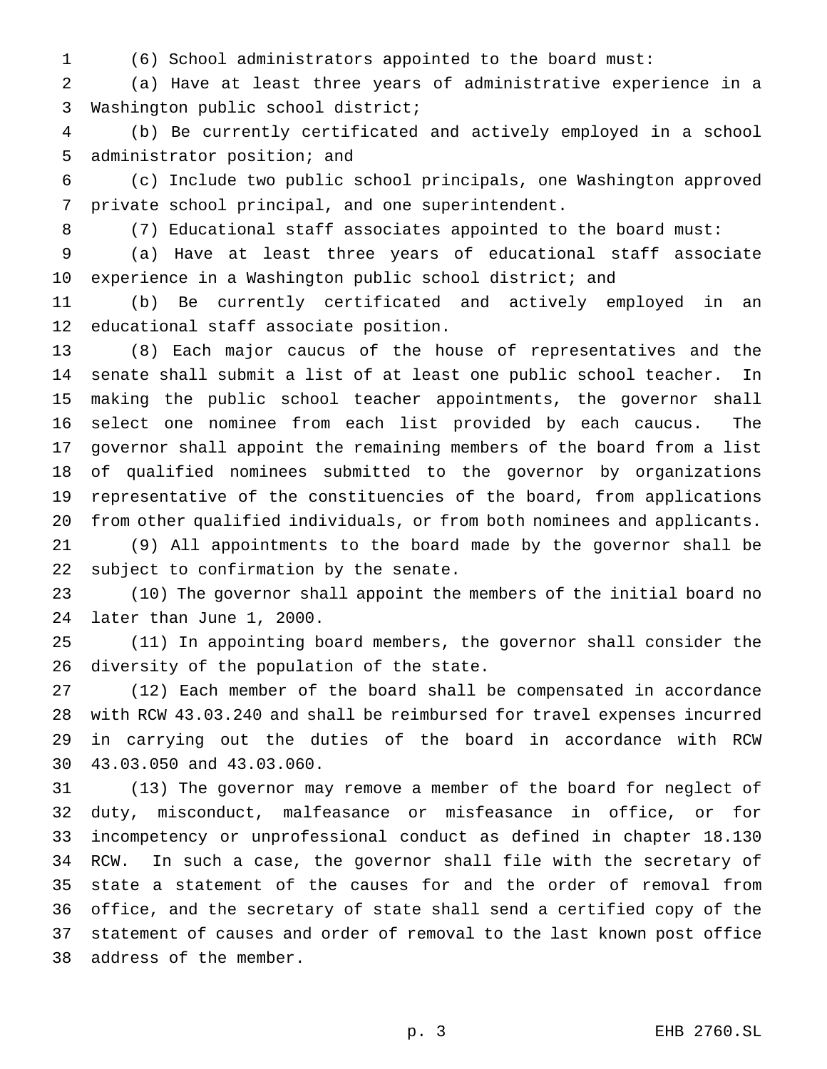(6) School administrators appointed to the board must:

 (a) Have at least three years of administrative experience in a Washington public school district;

 (b) Be currently certificated and actively employed in a school administrator position; and

 (c) Include two public school principals, one Washington approved private school principal, and one superintendent.

8 (7) Educational staff associates appointed to the board must:

 (a) Have at least three years of educational staff associate experience in a Washington public school district; and

 (b) Be currently certificated and actively employed in an educational staff associate position.

 (8) Each major caucus of the house of representatives and the senate shall submit a list of at least one public school teacher. In making the public school teacher appointments, the governor shall select one nominee from each list provided by each caucus. The governor shall appoint the remaining members of the board from a list of qualified nominees submitted to the governor by organizations representative of the constituencies of the board, from applications from other qualified individuals, or from both nominees and applicants.

 (9) All appointments to the board made by the governor shall be subject to confirmation by the senate.

 (10) The governor shall appoint the members of the initial board no later than June 1, 2000.

 (11) In appointing board members, the governor shall consider the diversity of the population of the state.

 (12) Each member of the board shall be compensated in accordance with RCW 43.03.240 and shall be reimbursed for travel expenses incurred in carrying out the duties of the board in accordance with RCW 43.03.050 and 43.03.060.

 (13) The governor may remove a member of the board for neglect of duty, misconduct, malfeasance or misfeasance in office, or for incompetency or unprofessional conduct as defined in chapter 18.130 RCW. In such a case, the governor shall file with the secretary of state a statement of the causes for and the order of removal from office, and the secretary of state shall send a certified copy of the statement of causes and order of removal to the last known post office address of the member.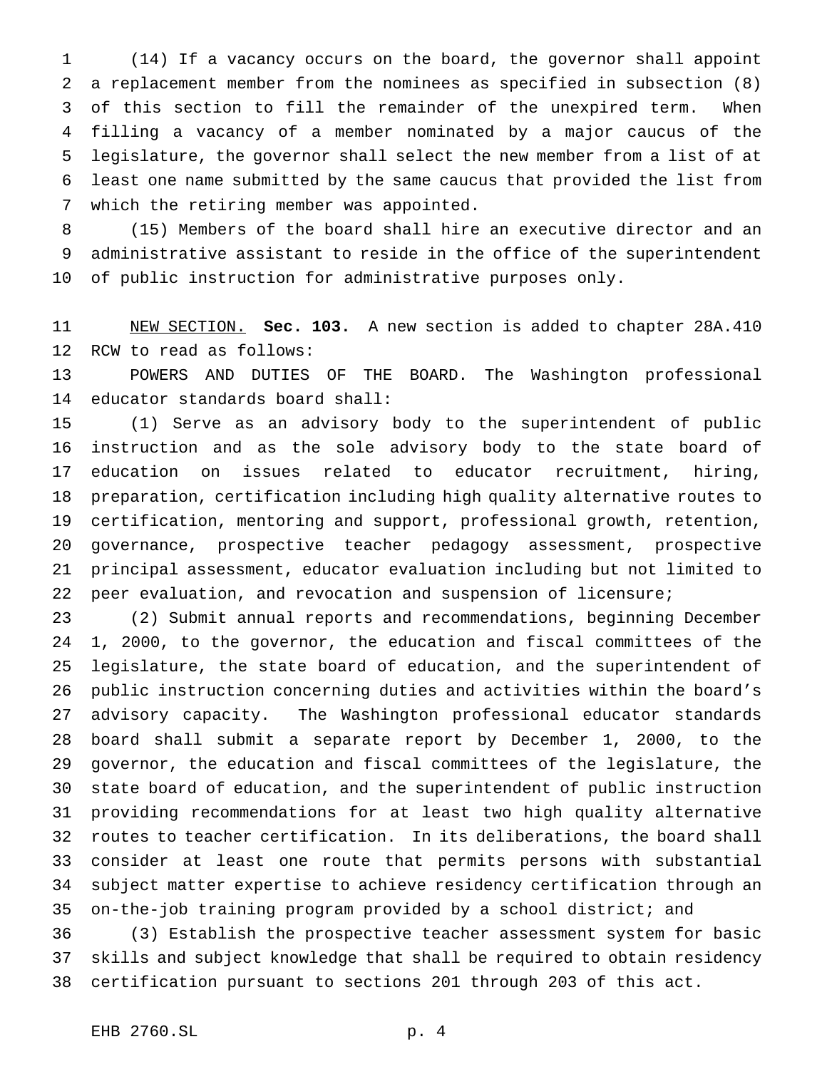(14) If a vacancy occurs on the board, the governor shall appoint a replacement member from the nominees as specified in subsection (8) of this section to fill the remainder of the unexpired term. When filling a vacancy of a member nominated by a major caucus of the legislature, the governor shall select the new member from a list of at least one name submitted by the same caucus that provided the list from which the retiring member was appointed.

 (15) Members of the board shall hire an executive director and an administrative assistant to reside in the office of the superintendent of public instruction for administrative purposes only.

 NEW SECTION. **Sec. 103.** A new section is added to chapter 28A.410 RCW to read as follows:

 POWERS AND DUTIES OF THE BOARD. The Washington professional educator standards board shall:

 (1) Serve as an advisory body to the superintendent of public instruction and as the sole advisory body to the state board of education on issues related to educator recruitment, hiring, preparation, certification including high quality alternative routes to certification, mentoring and support, professional growth, retention, governance, prospective teacher pedagogy assessment, prospective principal assessment, educator evaluation including but not limited to peer evaluation, and revocation and suspension of licensure;

 (2) Submit annual reports and recommendations, beginning December 1, 2000, to the governor, the education and fiscal committees of the legislature, the state board of education, and the superintendent of public instruction concerning duties and activities within the board's advisory capacity. The Washington professional educator standards board shall submit a separate report by December 1, 2000, to the governor, the education and fiscal committees of the legislature, the state board of education, and the superintendent of public instruction providing recommendations for at least two high quality alternative routes to teacher certification. In its deliberations, the board shall consider at least one route that permits persons with substantial subject matter expertise to achieve residency certification through an on-the-job training program provided by a school district; and

 (3) Establish the prospective teacher assessment system for basic skills and subject knowledge that shall be required to obtain residency certification pursuant to sections 201 through 203 of this act.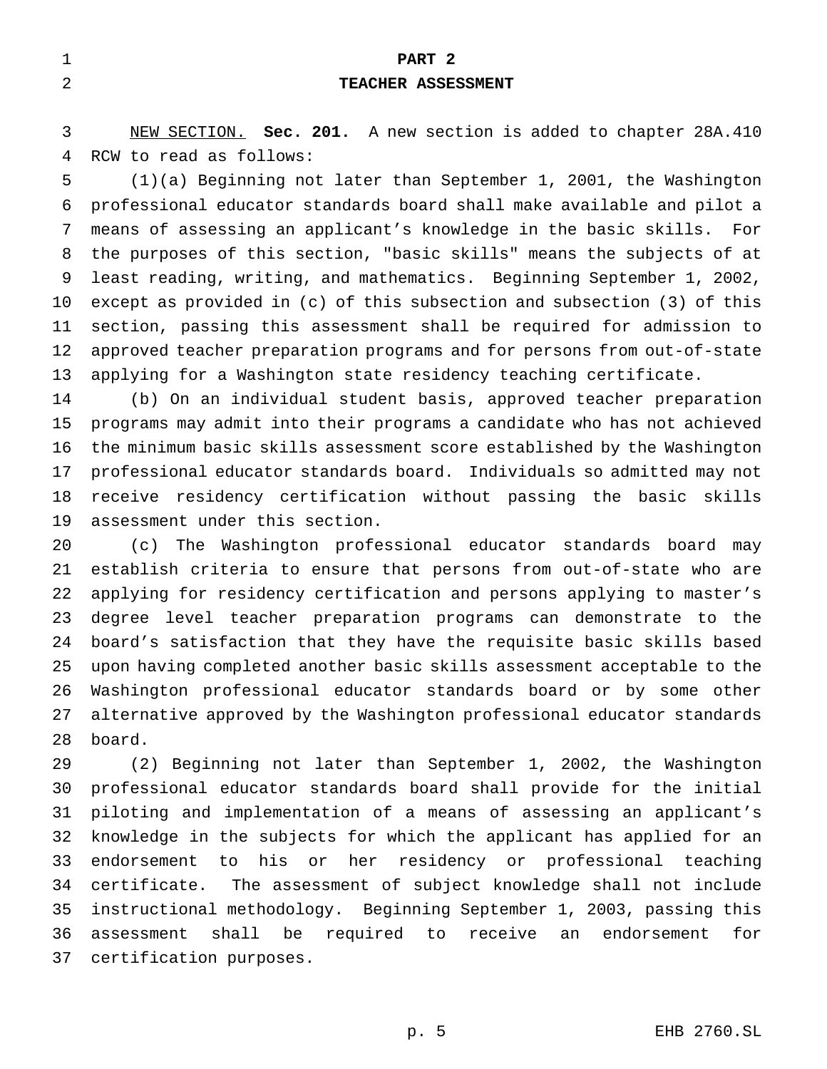| $\mathbf{r}$<br>ᆠ | PART 2                    |
|-------------------|---------------------------|
| 2                 | <b>TEACHER ASSESSMENT</b> |
|                   |                           |

 NEW SECTION. **Sec. 201.** A new section is added to chapter 28A.410 RCW to read as follows:

 (1)(a) Beginning not later than September 1, 2001, the Washington professional educator standards board shall make available and pilot a means of assessing an applicant's knowledge in the basic skills. For the purposes of this section, "basic skills" means the subjects of at least reading, writing, and mathematics. Beginning September 1, 2002, except as provided in (c) of this subsection and subsection (3) of this section, passing this assessment shall be required for admission to approved teacher preparation programs and for persons from out-of-state applying for a Washington state residency teaching certificate.

 (b) On an individual student basis, approved teacher preparation programs may admit into their programs a candidate who has not achieved the minimum basic skills assessment score established by the Washington professional educator standards board. Individuals so admitted may not receive residency certification without passing the basic skills assessment under this section.

 (c) The Washington professional educator standards board may establish criteria to ensure that persons from out-of-state who are applying for residency certification and persons applying to master's degree level teacher preparation programs can demonstrate to the board's satisfaction that they have the requisite basic skills based upon having completed another basic skills assessment acceptable to the Washington professional educator standards board or by some other alternative approved by the Washington professional educator standards board.

 (2) Beginning not later than September 1, 2002, the Washington professional educator standards board shall provide for the initial piloting and implementation of a means of assessing an applicant's knowledge in the subjects for which the applicant has applied for an endorsement to his or her residency or professional teaching certificate. The assessment of subject knowledge shall not include instructional methodology. Beginning September 1, 2003, passing this assessment shall be required to receive an endorsement for certification purposes.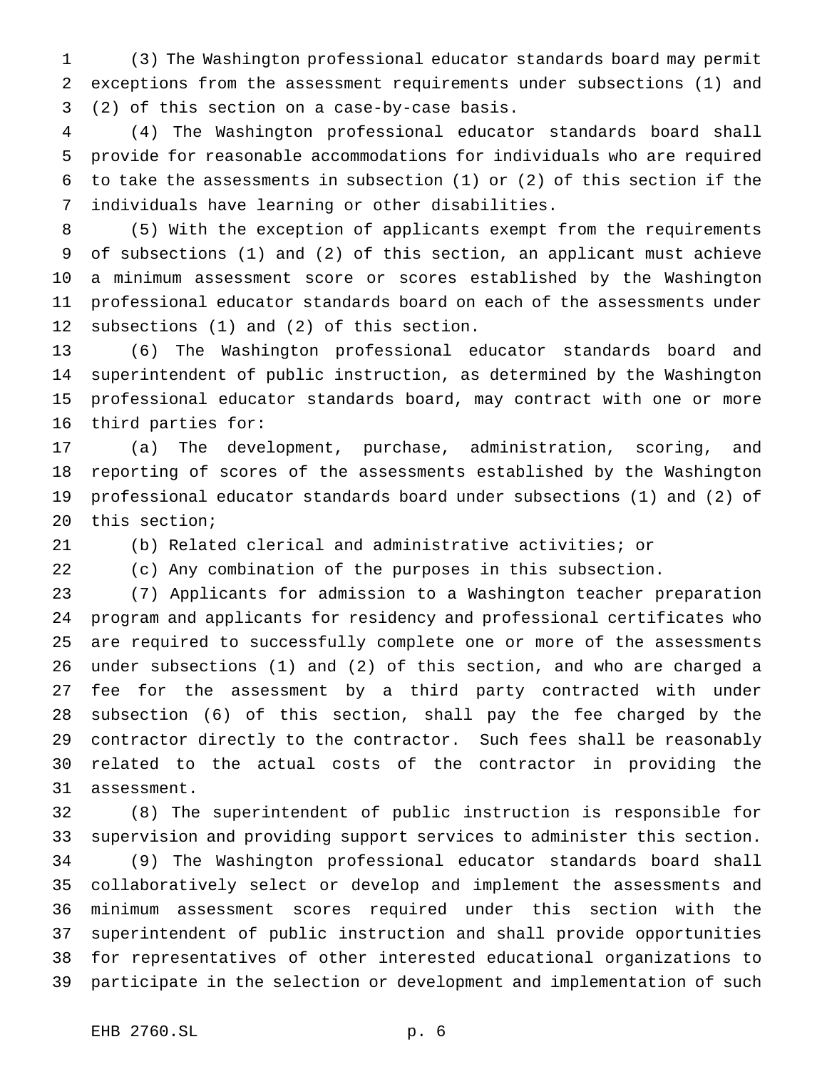(3) The Washington professional educator standards board may permit exceptions from the assessment requirements under subsections (1) and (2) of this section on a case-by-case basis.

 (4) The Washington professional educator standards board shall provide for reasonable accommodations for individuals who are required to take the assessments in subsection (1) or (2) of this section if the individuals have learning or other disabilities.

 (5) With the exception of applicants exempt from the requirements of subsections (1) and (2) of this section, an applicant must achieve a minimum assessment score or scores established by the Washington professional educator standards board on each of the assessments under subsections (1) and (2) of this section.

 (6) The Washington professional educator standards board and superintendent of public instruction, as determined by the Washington professional educator standards board, may contract with one or more third parties for:

 (a) The development, purchase, administration, scoring, and reporting of scores of the assessments established by the Washington professional educator standards board under subsections (1) and (2) of this section;

(b) Related clerical and administrative activities; or

(c) Any combination of the purposes in this subsection.

 (7) Applicants for admission to a Washington teacher preparation program and applicants for residency and professional certificates who are required to successfully complete one or more of the assessments under subsections (1) and (2) of this section, and who are charged a fee for the assessment by a third party contracted with under subsection (6) of this section, shall pay the fee charged by the contractor directly to the contractor. Such fees shall be reasonably related to the actual costs of the contractor in providing the assessment.

 (8) The superintendent of public instruction is responsible for supervision and providing support services to administer this section. (9) The Washington professional educator standards board shall collaboratively select or develop and implement the assessments and minimum assessment scores required under this section with the superintendent of public instruction and shall provide opportunities for representatives of other interested educational organizations to participate in the selection or development and implementation of such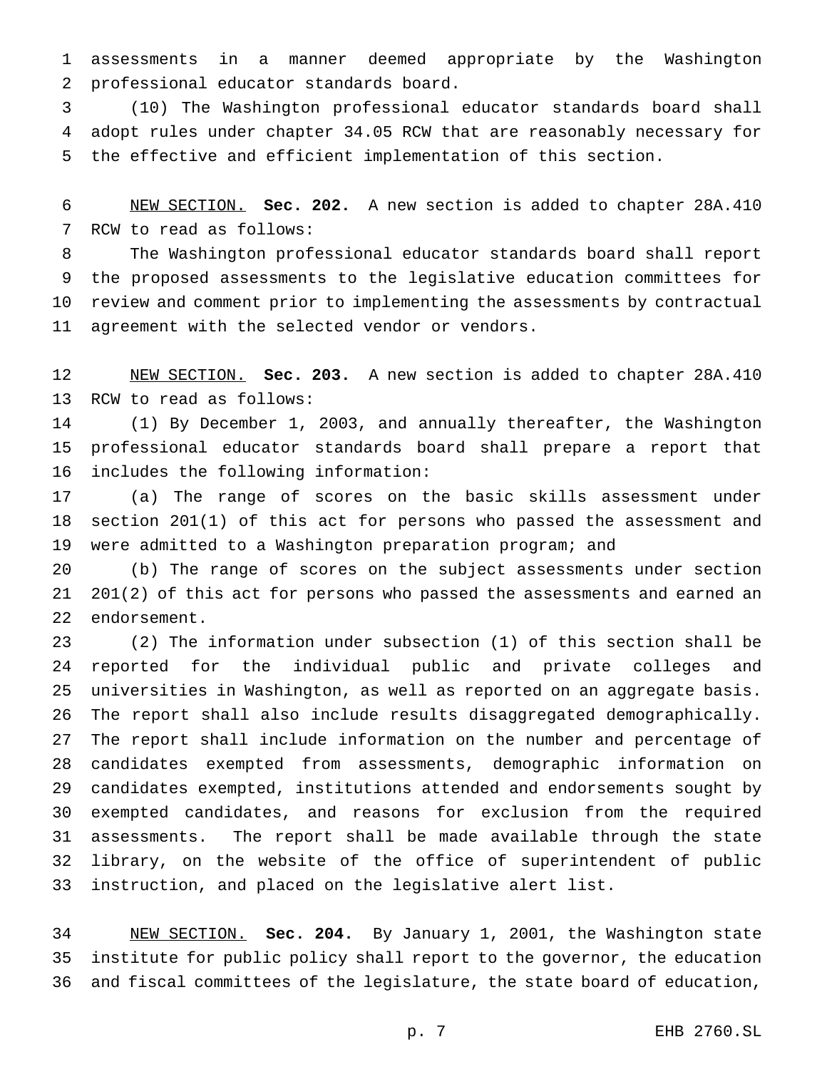assessments in a manner deemed appropriate by the Washington professional educator standards board.

 (10) The Washington professional educator standards board shall adopt rules under chapter 34.05 RCW that are reasonably necessary for the effective and efficient implementation of this section.

 NEW SECTION. **Sec. 202.** A new section is added to chapter 28A.410 RCW to read as follows:

 The Washington professional educator standards board shall report the proposed assessments to the legislative education committees for review and comment prior to implementing the assessments by contractual agreement with the selected vendor or vendors.

 NEW SECTION. **Sec. 203.** A new section is added to chapter 28A.410 RCW to read as follows:

 (1) By December 1, 2003, and annually thereafter, the Washington professional educator standards board shall prepare a report that includes the following information:

 (a) The range of scores on the basic skills assessment under section 201(1) of this act for persons who passed the assessment and were admitted to a Washington preparation program; and

 (b) The range of scores on the subject assessments under section 201(2) of this act for persons who passed the assessments and earned an endorsement.

 (2) The information under subsection (1) of this section shall be reported for the individual public and private colleges and universities in Washington, as well as reported on an aggregate basis. The report shall also include results disaggregated demographically. The report shall include information on the number and percentage of candidates exempted from assessments, demographic information on candidates exempted, institutions attended and endorsements sought by exempted candidates, and reasons for exclusion from the required assessments. The report shall be made available through the state library, on the website of the office of superintendent of public instruction, and placed on the legislative alert list.

 NEW SECTION. **Sec. 204.** By January 1, 2001, the Washington state institute for public policy shall report to the governor, the education and fiscal committees of the legislature, the state board of education,